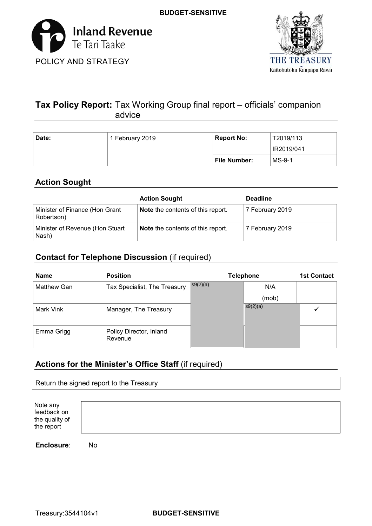



# **Tax Policy Report:** Tax Working Group final report – officials' companion advice

| Date: | 1 February 2019 | <b>Report No:</b> | T2019/113  |
|-------|-----------------|-------------------|------------|
|       |                 |                   | IR2019/041 |
|       |                 | File Number:      | MS-9-1     |

# **Action Sought**

|                                              | <b>Action Sought</b>                     | <b>Deadline</b> |
|----------------------------------------------|------------------------------------------|-----------------|
| Minister of Finance (Hon Grant<br>Robertson) | <b>Note</b> the contents of this report. | 7 February 2019 |
| Minister of Revenue (Hon Stuart<br>Nash)     | <b>Note</b> the contents of this report. | 7 February 2019 |

# **Contact for Telephone Discussion** (if required)

| <b>Name</b>        | <b>Position</b>                    |          | <b>Telephone</b> | <b>1st Contact</b> |
|--------------------|------------------------------------|----------|------------------|--------------------|
| <b>Matthew Gan</b> | Tax Specialist, The Treasury       | s9(2)(a) | N/A              |                    |
|                    |                                    |          | (mob)            |                    |
| Mark Vink          | Manager, The Treasury              |          | s9(2)(a)         |                    |
|                    |                                    |          |                  |                    |
| Emma Grigg         | Policy Director, Inland<br>Revenue |          |                  |                    |

# **Actions for the Minister's Office Staff** (if required)

| Return the signed report to the Treasury                |  |  |
|---------------------------------------------------------|--|--|
|                                                         |  |  |
| Note any<br>feedback on<br>the quality of<br>the report |  |  |

**Enclosure**: No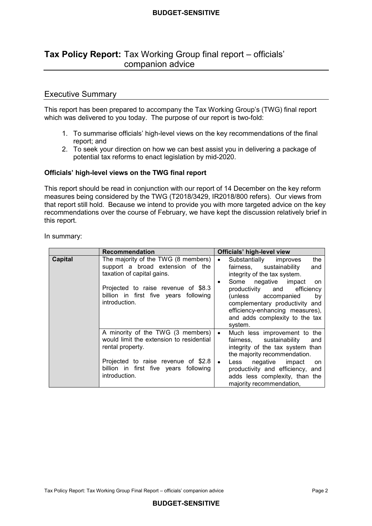# **Tax Policy Report:** Tax Working Group final report – officials' companion advice

## Executive Summary

 This report has been prepared to accompany the Tax Working Group's (TWG) final report which was delivered to you today. The purpose of our report is two-fold:

- 1. To summarise officials' high-level views on the key recommendations of the final report; and
- 2. To seek your direction on how we can best assist you in delivering a package of potential tax reforms to enact legislation by mid-2020.

#### **Officials' high-level views on the TWG final report**

 This report should be read in conjunction with our report of 14 December on the key reform measures being considered by the TWG (T2018/3429, IR2018/800 refers). Our views from that report still hold. Because we intend to provide you with more targeted advice on the key recommendations over the course of February, we have kept the discussion relatively brief in this report.

In summary:

|                | <b>Recommendation</b>                                                                                                                                                                                  | Officials' high-level view                                                                                                                                                                                                                                                                                          |
|----------------|--------------------------------------------------------------------------------------------------------------------------------------------------------------------------------------------------------|---------------------------------------------------------------------------------------------------------------------------------------------------------------------------------------------------------------------------------------------------------------------------------------------------------------------|
| <b>Capital</b> | The majority of the TWG (8 members)<br>support a broad extension of the<br>taxation of capital gains.<br>Projected to raise revenue of \$8.3<br>billion in first five years following<br>introduction. | Substantially improves<br>the<br>$\bullet$<br>fairness, sustainability<br>and<br>integrity of the tax system.<br>Some negative impact<br>on<br>٠<br>productivity and efficiency<br>(unless accompanied<br>by<br>complementary productivity and<br>efficiency-enhancing measures),<br>and adds complexity to the tax |
|                | A minority of the TWG (3 members)<br>would limit the extension to residential<br>rental property.<br>Projected to raise revenue of \$2.8<br>billion in first five years following<br>introduction.     | system.<br>Much less improvement to the<br>$\bullet$<br>sustainability<br>fairness,<br>and<br>integrity of the tax system than<br>the majority recommendation.<br>negative<br>Less<br>impact<br>$\bullet$<br>on<br>productivity and efficiency, and<br>adds less complexity, than the<br>majority recommendation,   |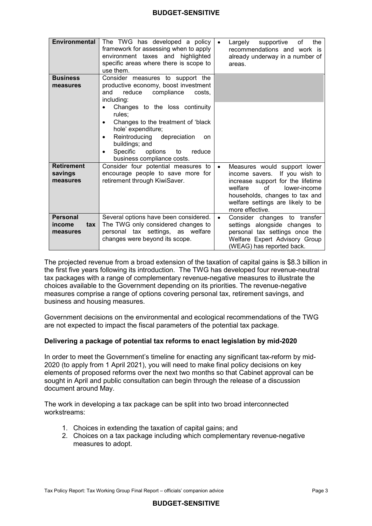| <b>Environmental</b>                         | The TWG has developed a policy<br>framework for assessing when to apply<br>environment taxes and highlighted<br>specific areas where there is scope to<br>use them.                                                             | of<br>the<br>Largely<br>supportive<br>recommendations and work is<br>already underway in a number of<br>areas.                                                                                                                                |
|----------------------------------------------|---------------------------------------------------------------------------------------------------------------------------------------------------------------------------------------------------------------------------------|-----------------------------------------------------------------------------------------------------------------------------------------------------------------------------------------------------------------------------------------------|
| <b>Business</b><br>measures                  | Consider measures to support the<br>productive economy, boost investment<br>reduce<br>compliance<br>costs,<br>and<br>including:                                                                                                 |                                                                                                                                                                                                                                               |
|                                              | Changes to the loss continuity<br>rules:<br>Changes to the treatment of 'black<br>hole' expenditure;<br>Reintroducing depreciation<br>on<br>buildings; and<br>Specific<br>options<br>reduce<br>to<br>business compliance costs. |                                                                                                                                                                                                                                               |
| <b>Retirement</b><br>savings<br>measures     | Consider four potential measures to<br>encourage people to save more for<br>retirement through KiwiSaver.                                                                                                                       | Measures would support lower<br>$\bullet$<br>If you wish to<br>income savers.<br>increase support for the lifetime<br>welfare<br>Ωf<br>lower-income<br>households, changes to tax and<br>welfare settings are likely to be<br>more effective. |
| <b>Personal</b><br>tax<br>income<br>measures | Several options have been considered.<br>The TWG only considered changes to<br>personal tax settings, as welfare<br>changes were beyond its scope.                                                                              | Consider changes to transfer<br>$\bullet$<br>settings alongside changes to<br>personal tax settings once the<br>Welfare Expert Advisory Group<br>(WEAG) has reported back.                                                                    |

 The projected revenue from a broad extension of the taxation of capital gains is \$8.3 billion in the first five years following its introduction. The TWG has developed four revenue-neutral tax packages with a range of complementary revenue-negative measures to illustrate the choices available to the Government depending on its priorities. The revenue-negative measures comprise a range of options covering personal tax, retirement savings, and business and housing measures.

 Government decisions on the environmental and ecological recommendations of the TWG are not expected to impact the fiscal parameters of the potential tax package.

## **Delivering a package of potential tax reforms to enact legislation by mid-2020**

 In order to meet the Government's timeline for enacting any significant tax-reform by mid- 2020 (to apply from 1 April 2021), you will need to make final policy decisions on key elements of proposed reforms over the next two months so that Cabinet approval can be sought in April and public consultation can begin through the release of a discussion document around May.

 The work in developing a tax package can be split into two broad interconnected workstreams:

- 1. Choices in extending the taxation of capital gains; and
- 2. Choices on a tax package including which complementary revenue-negative measures to adopt.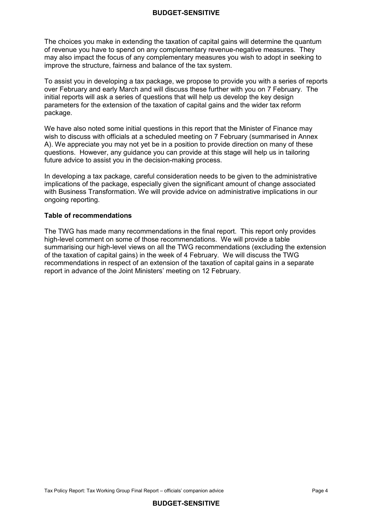The choices you make in extending the taxation of capital gains will determine the quantum of revenue you have to spend on any complementary revenue-negative measures. They may also impact the focus of any complementary measures you wish to adopt in seeking to improve the structure, fairness and balance of the tax system.

 To assist you in developing a tax package, we propose to provide you with a series of reports over February and early March and will discuss these further with you on 7 February. The initial reports will ask a series of questions that will help us develop the key design parameters for the extension of the taxation of capital gains and the wider tax reform package.

 We have also noted some initial questions in this report that the Minister of Finance may wish to discuss with officials at a scheduled meeting on 7 February (summarised in Annex A). We appreciate you may not yet be in a position to provide direction on many of these questions. However, any guidance you can provide at this stage will help us in tailoring future advice to assist you in the decision-making process.

 In developing a tax package, careful consideration needs to be given to the administrative implications of the package, especially given the significant amount of change associated with Business Transformation. We will provide advice on administrative implications in our ongoing reporting.

## **Table of recommendations**

 The TWG has made many recommendations in the final report. This report only provides high-level comment on some of those recommendations. We will provide a table summarising our high-level views on all the TWG recommendations (excluding the extension of the taxation of capital gains) in the week of 4 February. We will discuss the TWG recommendations in respect of an extension of the taxation of capital gains in a separate report in advance of the Joint Ministers' meeting on 12 February.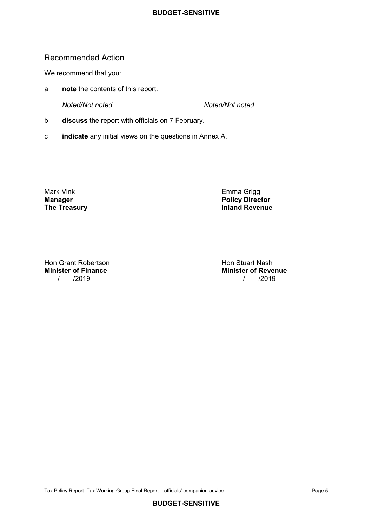## Recommended Action

We recommend that you:

a **note** the contents of this report.

**Noted/Not noted** 

*Noted/Not noted Noted/Not noted* 

- b **discuss** the report with officials on 7 February.
- c **indicate** any initial views on the questions in Annex A.

Mark Vink **Manager The Treasury**  Emma Grigg **Policy Director**<br> **Inland Revenue** 

Hon Grant Robertson New York Stuart Nash **Minister of Finance** 

**Minister of Finance Minister of Revenue** / /2019 / /2019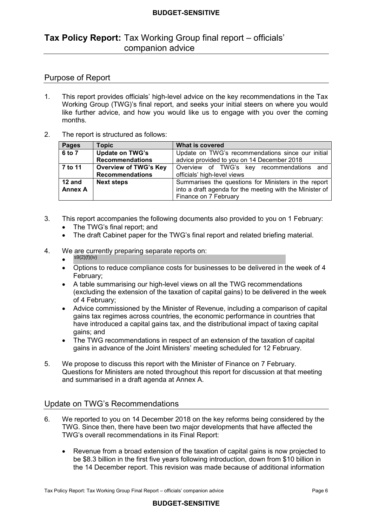# **Tax Policy Report:** Tax Working Group final report – officials' companion advice

## Purpose of Report

- $1<sub>1</sub>$  Working Group (TWG)'s final report, and seeks your initial steers on where you would like further advice, and how you would like us to engage with you over the coming months. 1. This report provides officials' high-level advice on the key recommendations in the Tax
- $\mathcal{P}$ The report is structured as follows:

| <b>Pages</b>   | <b>Topic</b>                 | <b>What is covered</b>                                   |  |
|----------------|------------------------------|----------------------------------------------------------|--|
| 6 to 7         | <b>Update on TWG's</b>       | Update on TWG's recommendations since our initial        |  |
|                | <b>Recommendations</b>       | advice provided to you on 14 December 2018               |  |
| 7 to 11        | <b>Overview of TWG's Key</b> | Overview of TWG's key recommendations and                |  |
|                | <b>Recommendations</b>       | officials' high-level views                              |  |
| 12 and         | <b>Next steps</b>            | Summarises the questions for Ministers in the report     |  |
| <b>Annex A</b> |                              | into a draft agenda for the meeting with the Minister of |  |
|                |                              | Finance on 7 February                                    |  |

- $3<sub>1</sub>$ This report accompanies the following documents also provided to you on 1 February:
	- The TWG's final report; and
	- $\bullet$ • The draft Cabinet paper for the TWG's final report and related briefing material.
- $\overline{4}$ We are currently preparing separate reports on:
	- $s9(2)(f)(iv)$
	- $\bullet$  February; • Options to reduce compliance costs for businesses to be delivered in the week of 4
	- $\bullet$  (excluding the extension of the taxation of capital gains) to be delivered in the week of 4 February; • A table summarising our high-level views on all the TWG recommendations
	- • Advice commissioned by the Minister of Revenue, including a comparison of capital gains tax regimes across countries, the economic performance in countries that have introduced a capital gains tax, and the distributional impact of taxing capital gains; and
	- $\bullet$  gains in advance of the Joint Ministers' meeting scheduled for 12 February. • The TWG recommendations in respect of an extension of the taxation of capital
- $5<sub>1</sub>$  Questions for Ministers are noted throughout this report for discussion at that meeting and summarised in a draft agenda at Annex A. We propose to discuss this report with the Minister of Finance on 7 February.

# Update on TWG's Recommendations

- $6.$  TWG. Since then, there have been two major developments that have affected the TWG's overall recommendations in its Final Report: We reported to you on 14 December 2018 on the key reforms being considered by the
	- • Revenue from a broad extension of the taxation of capital gains is now projected to be \$8.3 billion in the first five years following introduction, down from \$10 billion in the 14 December report. This revision was made because of additional information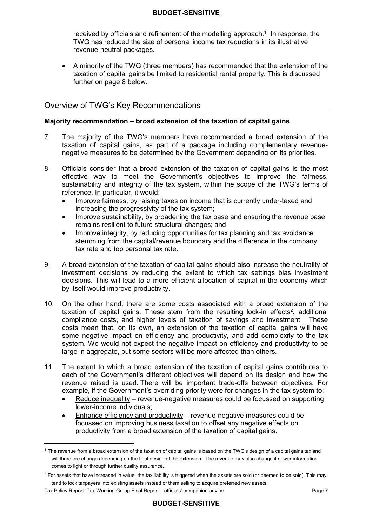received by officials and refinement of the modelling approach.<sup>1</sup> In response, the TWG has reduced the size of personal income tax reductions in its illustrative revenue-neutral packages.

 $\bullet$  taxation of capital gains be limited to residential rental property. This is discussed further on page 8 below. • A minority of the TWG (three members) has recommended that the extension of the

# Overview of TWG's Key Recommendations

## **Majority recommendation – broad extension of the taxation of capital gains**

- $7<sub>1</sub>$  taxation of capital gains, as part of a package including complementary revenue- negative measures to be determined by the Government depending on its priorities. The majority of the TWG's members have recommended a broad extension of the
- 8. Officials consider that a broad extension of the taxation of capital gains is the most effective way to meet the Government's objectives to improve the fairness, sustainability and integrity of the tax system, within the scope of the TWG's terms of reference. In particular, it would:
	- increasing the progressivity of the tax system; • Improve fairness, by raising taxes on income that is currently under-taxed and
	- remains resilient to future structural changes; and • Improve sustainability, by broadening the tax base and ensuring the revenue base
	- stemming from the capital/revenue boundary and the difference in the company tax rate and top personal tax rate. • Improve integrity, by reducing opportunities for tax planning and tax avoidance
- $\mathbf{Q}$  investment decisions by reducing the extent to which tax settings bias investment decisions. This will lead to a more efficient allocation of capital in the economy which by itself would improve productivity. 9. A broad extension of the taxation of capital gains should also increase the neutrality of
- $10.$ taxation of capital gains. These stem from the resulting lock-in effects<sup>2</sup>, additional compliance costs, and higher levels of taxation of savings and investment. These costs mean that, on its own, an extension of the taxation of capital gains will have some negative impact on efficiency and productivity, and add complexity to the tax system. We would not expect the negative impact on efficiency and productivity to be large in aggregate, but some sectors will be more affected than others. 10. On the other hand, there are some costs associated with a broad extension of the
- $11$  each of the Government's different objectives will depend on its design and how the revenue raised is used. There will be important trade-offs between objectives. For example, if the Government's overriding priority were for changes in the tax system to: The extent to which a broad extension of the taxation of capital gains contributes to
	- Reduce inequality revenue-negative measures could be focussed on supporting lower-income individuals;
	- Enhance efficiency and productivity revenue-negative measures could be focussed on improving business taxation to offset any negative effects on productivity from a broad extension of the taxation of capital gains.

 $\overline{a}$ 

 $^{\rm 1}$  The revenue from a broad extension of the taxation of capital gains is based on the TWG's design of a capital gains tax and will therefore change depending on the final design of the extension. The revenue may also change if newer information comes to light or through further quality assurance.

 $^2$  For assets that have increased in value, the tax liability is triggered when the assets are sold (or deemed to be sold). This may tend to lock taxpayers into existing assets instead of them selling to acquire preferred new assets.

 Tax Policy Report: Tax Working Group Final Report – officials' companion advice Page 7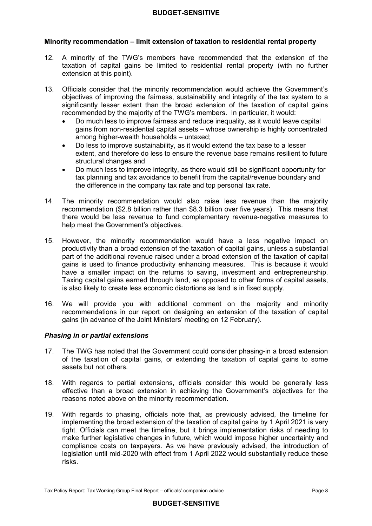## **Minority recommendation – limit extension of taxation to residential rental property**

- $12.$  taxation of capital gains be limited to residential rental property (with no further extension at this point). 12. A minority of the TWG's members have recommended that the extension of the
- 13. Officials consider that the minority recommendation would achieve the Government's objectives of improving the fairness, sustainability and integrity of the tax system to a significantly lesser extent than the broad extension of the taxation of capital gains recommended by the majority of the TWG's members. In particular, it would:
	- • Do much less to improve fairness and reduce inequality, as it would leave capital gains from non-residential capital assets – whose ownership is highly concentrated among higher-wealth households – untaxed;
	- extent, and therefore do less to ensure the revenue base remains resilient to future structural changes and • Do less to improve sustainability, as it would extend the tax base to a lesser
	- tax planning and tax avoidance to benefit from the capital/revenue boundary and the difference in the company tax rate and top personal tax rate. • Do much less to improve integrity, as there would still be significant opportunity for
- 14. The minority recommendation would also raise less revenue than the majority recommendation (\$2.8 billion rather than \$8.3 billion over five years). This means that there would be less revenue to fund complementary revenue-negative measures to help meet the Government's objectives.
- 15. However, the minority recommendation would have a less negative impact on productivity than a broad extension of the taxation of capital gains, unless a substantial part of the additional revenue raised under a broad extension of the taxation of capital gains is used to finance productivity enhancing measures. This is because it would have a smaller impact on the returns to saving, investment and entrepreneurship. Taxing capital gains earned through land, as opposed to other forms of capital assets, is also likely to create less economic distortions as land is in fixed supply.
- 16. We will provide you with additional comment on the majority and minority recommendations in our report on designing an extension of the taxation of capital gains (in advance of the Joint Ministers' meeting on 12 February).

## *Phasing in or partial extensions*

- 17. The TWG has noted that the Government could consider phasing-in a broad extension of the taxation of capital gains, or extending the taxation of capital gains to some assets but not others.
- 18. With regards to partial extensions, officials consider this would be generally less effective than a broad extension in achieving the Government's objectives for the reasons noted above on the minority recommendation.
- 19. With regards to phasing, officials note that, as previously advised, the timeline for implementing the broad extension of the taxation of capital gains by 1 April 2021 is very tight. Officials can meet the timeline, but it brings implementation risks of needing to make further legislative changes in future, which would impose higher uncertainty and compliance costs on taxpayers. As we have previously advised, the introduction of legislation until mid-2020 with effect from 1 April 2022 would substantially reduce these risks.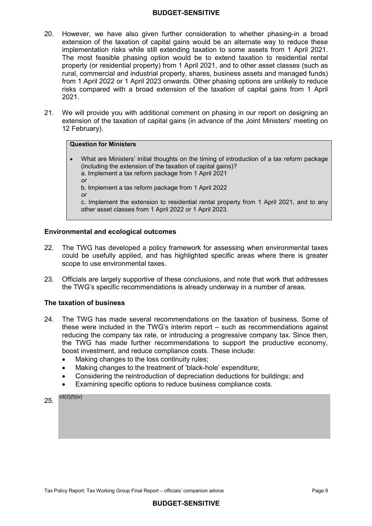- 20. However, we have also given further consideration to whether phasing-in a broad extension of the taxation of capital gains would be an alternate way to reduce these implementation risks while still extending taxation to some assets from 1 April 2021. The most feasible phasing option would be to extend taxation to residential rental property (or residential property) from 1 April 2021, and to other asset classes (such as rural, commercial and industrial property, shares, business assets and managed funds) from 1 April 2022 or 1 April 2023 onwards. Other phasing options are unlikely to reduce risks compared with a broad extension of the taxation of capital gains from 1 April 2021.
- $21.$  extension of the taxation of capital gains (in advance of the Joint Ministers' meeting on We will provide you with additional comment on phasing in our report on designing an 12 February).

#### **Question for Ministers**

 (including the extension of the taxation of capital gains)? c. Implement the extension to residential rental property from 1 April 2021, and to any other asset classes from 1 April 2022 or 1 April 2023. • What are Ministers' initial thoughts on the timing of introduction of a tax reform package a. Implement a tax reform package from 1 April 2021 *or*  b. Implement a tax reform package from 1 April 2022 *or* 

## **Environmental and ecological outcomes**

- 22. The TWG has developed a policy framework for assessing when environmental taxes could be usefully applied, and has highlighted specific areas where there is greater scope to use environmental taxes.
- $23<sup>2</sup>$  the TWG's specific recommendations is already underway in a number of areas. 23. Officials are largely supportive of these conclusions, and note that work that addresses

#### **The taxation of business**

- 24. The TWG has made several recommendations on the taxation of business. Some of these were included in the TWG's interim report – such as recommendations against reducing the company tax rate, or introducing a progressive company tax. Since then, the TWG has made further recommendations to support the productive economy, boost investment, and reduce compliance costs. These include:
	- Making changes to the loss continuity rules:
	- Making changes to the treatment of 'black-hole' expenditure;
	- Considering the reintroduction of depreciation deductions for buildings; and
	- Examining specific options to reduce business compliance costs.

25.  $s9(2)(f)(iv)$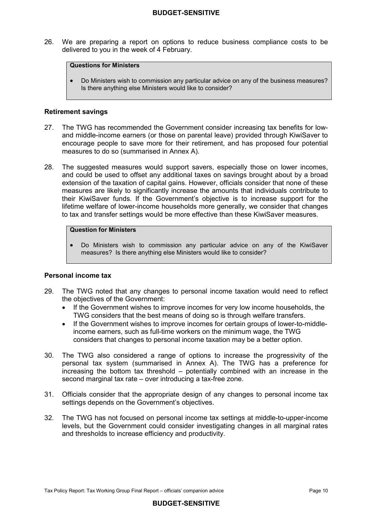$26.$  delivered to you in the week of 4 February. We are preparing a report on options to reduce business compliance costs to be

#### **Questions for Ministers**

 • Do Ministers wish to commission any particular advice on any of the business measures? Is there anything else Ministers would like to consider?

#### **Retirement savings**

- $27<sub>1</sub>$  and middle-income earners (or those on parental leave) provided through KiwiSaver to encourage people to save more for their retirement, and has proposed four potential measures to do so (summarised in Annex A). The TWG has recommended the Government consider increasing tax benefits for low-
- 28. and could be used to offset any additional taxes on savings brought about by a broad extension of the taxation of capital gains. However, officials consider that none of these measures are likely to significantly increase the amounts that individuals contribute to their KiwiSaver funds. If the Government's objective is to increase support for the lifetime welfare of lower-income households more generally, we consider that changes to tax and transfer settings would be more effective than these KiwiSaver measures. The suggested measures would support savers, especially those on lower incomes,

#### **Question for Ministers**

 • Do Ministers wish to commission any particular advice on any of the KiwiSaver measures? Is there anything else Ministers would like to consider?

#### **Personal income tax**

- $29.$  the objectives of the Government: The TWG noted that any changes to personal income taxation would need to reflect
	- TWG considers that the best means of doing so is through welfare transfers. If the Government wishes to improve incomes for very low income households, the
	- • If the Government wishes to improve incomes for certain groups of lower-to-middle- income earners, such as full-time workers on the minimum wage, the TWG considers that changes to personal income taxation may be a better option.
- 30. The TWG also considered a range of options to increase the progressivity of the personal tax system (summarised in Annex A). The TWG has a preference for increasing the bottom tax threshold – potentially combined with an increase in the second marginal tax rate – over introducing a tax-free zone.
- $31$  settings depends on the Government's objectives. 31. Officials consider that the appropriate design of any changes to personal income tax
- $32<sup>7</sup>$  levels, but the Government could consider investigating changes in all marginal rates and thresholds to increase efficiency and productivity. The TWG has not focused on personal income tax settings at middle-to-upper-income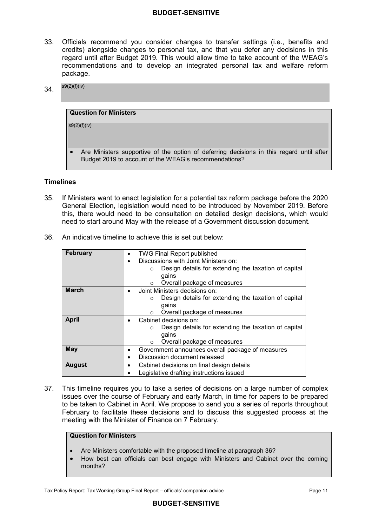- $33<sub>1</sub>$  credits) alongside changes to personal tax, and that you defer any decisions in this regard until after Budget 2019. This would allow time to take account of the WEAG's recommendations and to develop an integrated personal tax and welfare reform 33. Officials recommend you consider changes to transfer settings (i.e., benefits and package.
- 34.  $s9(2)(f)(iv)$

| <b>Question for Ministers</b>                                                            |
|------------------------------------------------------------------------------------------|
|                                                                                          |
| s9(2)(f)(iv)                                                                             |
|                                                                                          |
|                                                                                          |
|                                                                                          |
| Are Ministers supportive of the option of deferring decisions in this regard until after |
| Budget 2019 to account of the WEAG's recommendations?                                    |

## **Timelines**

- $35<sub>1</sub>$  General Election, legislation would need to be introduced by November 2019. Before this, there would need to be consultation on detailed design decisions, which would need to start around May with the release of a Government discussion document. 35. If Ministers want to enact legislation for a potential tax reform package before the 2020
- 36. An indicative timeline to achieve this is set out below:

| <b>February</b> | <b>TWG Final Report published</b><br>$\bullet$<br>Discussions with Joint Ministers on:<br>$\bullet$<br>Design details for extending the taxation of capital<br>$\circ$<br>gains<br>Overall package of measures<br>$\circ$ |  |
|-----------------|---------------------------------------------------------------------------------------------------------------------------------------------------------------------------------------------------------------------------|--|
| <b>March</b>    | Joint Ministers decisions on:<br>$\bullet$<br>Design details for extending the taxation of capital<br>$\circ$<br>qains<br>Overall package of measures<br>$\circ$                                                          |  |
| April           | Cabinet decisions on:<br>$\bullet$<br>Design details for extending the taxation of capital<br>$\circ$<br>gains<br>Overall package of measures<br>$\circ$                                                                  |  |
| <b>May</b>      | Government announces overall package of measures<br>Discussion document released                                                                                                                                          |  |
| <b>August</b>   | Cabinet decisions on final design details<br>Legislative drafting instructions issued                                                                                                                                     |  |

 $37.$  issues over the course of February and early March, in time for papers to be prepared to be taken to Cabinet in April. We propose to send you a series of reports throughout February to facilitate these decisions and to discuss this suggested process at the meeting with the Minister of Finance on 7 February. This timeline requires you to take a series of decisions on a large number of complex

#### **Question for Ministers**

- Are Ministers comfortable with the proposed timeline at paragraph 36?
- • How best can officials can best engage with Ministers and Cabinet over the coming months?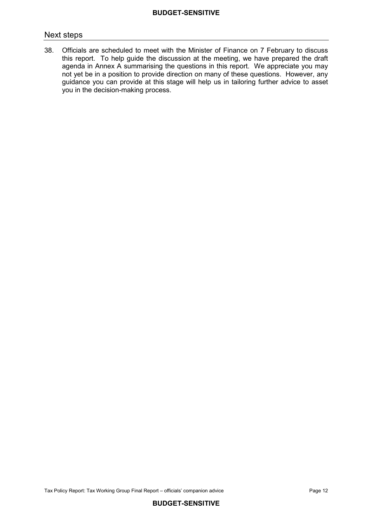## Next steps

38. this report. To help guide the discussion at the meeting, we have prepared the draft agenda in Annex A summarising the questions in this report. We appreciate you may not yet be in a position to provide direction on many of these questions. However, any guidance you can provide at this stage will help us in tailoring further advice to asset you in the decision-making process. 38. Officials are scheduled to meet with the Minister of Finance on 7 February to discuss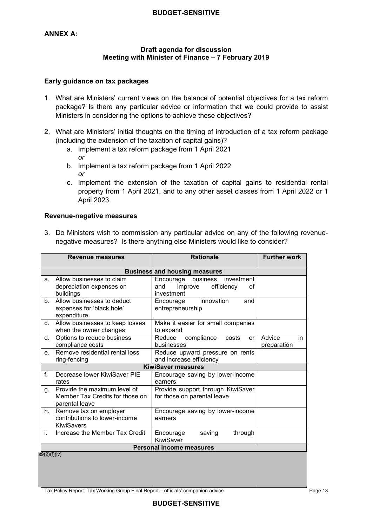## **ANNEX A:**

## **Meeting with Minister of Finance – 7 February 2019 Draft agenda for discussion**

#### **Early guidance on tax packages**

- 1. What are Ministers' current views on the balance of potential objectives for a tax reform package? Is there any particular advice or information that we could provide to assist Ministers in considering the options to achieve these objectives?
- 2. What are Ministers' initial thoughts on the timing of introduction of a tax reform package (including the extension of the taxation of capital gains)?
	- a. Implement a tax reform package from 1 April 2021 *or*
	- b. Implement a tax reform package from 1 April 2022 *or*
	- c. Implement the extension of the taxation of capital gains to residential rental property from 1 April 2021, and to any other asset classes from 1 April 2022 or 1 April 2023.

#### **Revenue-negative measures**

 3. Do Ministers wish to commission any particular advice on any of the following revenue-negative measures? Is there anything else Ministers would like to consider?

| <b>Revenue measures</b> |                                                                                   | <b>Rationale</b>                                                                     | <b>Further work</b>         |
|-------------------------|-----------------------------------------------------------------------------------|--------------------------------------------------------------------------------------|-----------------------------|
|                         | <b>Business and housing measures</b>                                              |                                                                                      |                             |
| a.                      | Allow businesses to claim<br>depreciation expenses on<br>buildings                | Encourage business<br>investment<br>efficiency<br>improve<br>and<br>οf<br>investment |                             |
| b.                      | Allow businesses to deduct<br>expenses for 'black hole'<br>expenditure            | innovation<br>Encourage<br>and<br>entrepreneurship                                   |                             |
| C.                      | Allow businesses to keep losses<br>when the owner changes                         | Make it easier for small companies<br>to expand                                      |                             |
| d.                      | Options to reduce business<br>compliance costs                                    | compliance<br>Reduce<br>costs<br>or<br>businesses                                    | Advice<br>in<br>preparation |
| e.                      | Remove residential rental loss<br>ring-fencing                                    | Reduce upward pressure on rents<br>and increase efficiency                           |                             |
|                         |                                                                                   | <b>KiwiSaver measures</b>                                                            |                             |
| $f_{\perp}$             | Decrease lower KiwiSaver PIE<br>rates                                             | Encourage saving by lower-income<br>earners                                          |                             |
| g.                      | Provide the maximum level of<br>Member Tax Credits for those on<br>parental leave | Provide support through KiwiSaver<br>for those on parental leave                     |                             |
| h.                      | Remove tax on employer<br>contributions to lower-income<br><b>KiwiSavers</b>      | Encourage saving by lower-income<br>earners                                          |                             |
| i.                      | Increase the Member Tax Credit                                                    | Encourage<br>through<br>saving<br>KiwiSaver                                          |                             |
|                         | <b>Personal income measures</b>                                                   |                                                                                      |                             |
| s9(2)(f)(iv)            |                                                                                   |                                                                                      |                             |